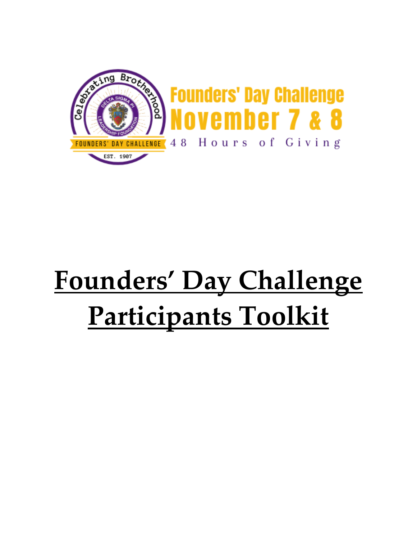

# **Founders' Day Challenge Participants Toolkit**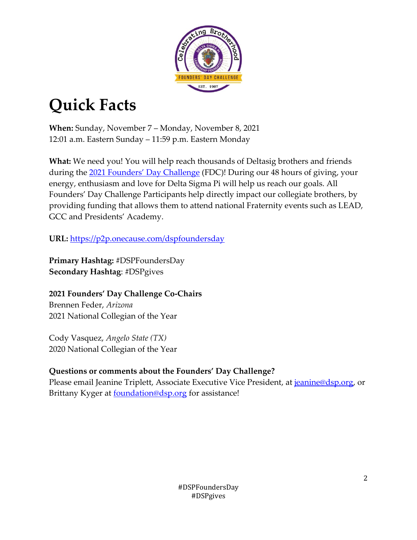

# **Quick Facts**

**When:** Sunday, November 7 – Monday, November 8, 2021 12:01 a.m. Eastern Sunday – 11:59 p.m. Eastern Monday

**What:** We need you! You will help reach thousands of Deltasig brothers and friends during the [2021 Founders'](http://www.dsp.org/fdc) Day Challenge (FDC)! During our 48 hours of giving, your energy, enthusiasm and love for Delta Sigma Pi will help us reach our goals. All Founders' Day Challenge Participants help directly impact our collegiate brothers, by providing funding that allows them to attend national Fraternity events such as LEAD, GCC and Presidents' Academy.

**URL:** <https://p2p.onecause.com/dspfoundersday>

**Primary Hashtag:** #DSPFoundersDay **Secondary Hashtag**: #DSPgives

**2021 Founders' Day Challenge Co-Chairs** Brennen Feder, *Arizona* 2021 National Collegian of the Year

Cody Vasquez, *Angelo State (TX)* 2020 National Collegian of the Year

# **Questions or comments about the Founders' Day Challenge?**

Please email Jeanine Triplett, Associate Executive Vice President, at [jeanine@dsp.org,](mailto:jeanine@dsp.org?subject=2021%20FDC%20Ambassador) or Brittany Kyger at **foundation@dsp.org** for assistance!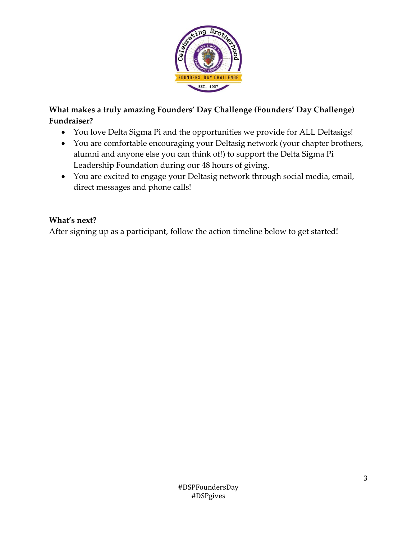

### **What makes a truly amazing Founders' Day Challenge (Founders' Day Challenge) Fundraiser?**

- You love Delta Sigma Pi and the opportunities we provide for ALL Deltasigs!
- You are comfortable encouraging your Deltasig network (your chapter brothers, alumni and anyone else you can think of!) to support the Delta Sigma Pi Leadership Foundation during our 48 hours of giving.
- You are excited to engage your Deltasig network through social media, email, direct messages and phone calls!

#### **What's next?**

After signing up as a participant, follow the action timeline below to get started!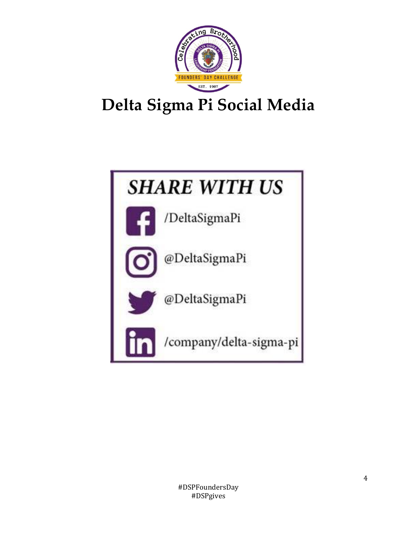

# **Delta Sigma Pi Social Media**

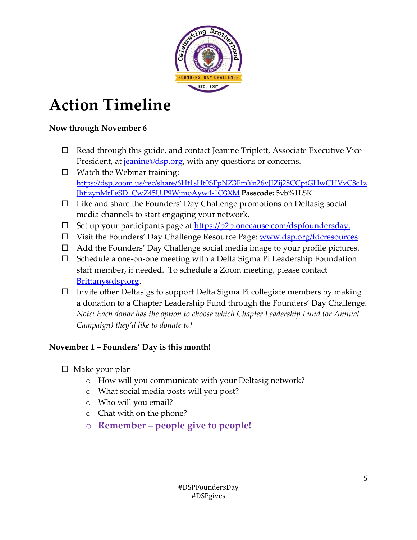

# **Action Timeline**

#### **Now through November 6**

- $\Box$  Read through this guide, and contact Jeanine Triplett, Associate Executive Vice President, at *jeanine@dsp.org*, with any questions or concerns.
- $\Box$  Watch the Webinar training: [https://dsp.zoom.us/rec/share/6Ht1sHt0SFpNZ3FmYn26vJIZij28CCptGHwCHVvC8c1z](https://dsp.zoom.us/rec/share/6Ht1sHt0SFpNZ3FmYn26vJIZij28CCptGHwCHVvC8c1zJhtizynMrFeSD_CwZ45U.P9WjmoAyw4-1O3XM) [JhtizynMrFeSD\\_CwZ45U.P9WjmoAyw4-1O3XM](https://dsp.zoom.us/rec/share/6Ht1sHt0SFpNZ3FmYn26vJIZij28CCptGHwCHVvC8c1zJhtizynMrFeSD_CwZ45U.P9WjmoAyw4-1O3XM) **Passcode:** 5vb%1LSK
- $\Box$  Like and share the Founders' Day Challenge promotions on Deltasig social media channels to start engaging your network.
- $\square$  Set up your participants page at [https://p2p.onecause.com/dspfoundersday.](https://p2p.onecause.com/dspfoundersday)
- □ Visit the Founders' Day Challenge Resource Page: [www.dsp.org/fdcresources](http://www.dsp.org/fdcresources)
- □ Add the Founders' Day Challenge social media image to your profile pictures.
- $\Box$  Schedule a one-on-one meeting with a Delta Sigma Pi Leadership Foundation staff member, if needed. To schedule a Zoom meeting, please contact [Brittany@dsp.org.](mailto:Brittany@dsp.org)
- $\Box$  Invite other Deltasigs to support Delta Sigma Pi collegiate members by making a donation to a Chapter Leadership Fund through the Founders' Day Challenge. *Note: Each donor has the option to choose which Chapter Leadership Fund (or Annual Campaign) they'd like to donate to!*

### **November 1 – Founders' Day is this month!**

- $\Box$  Make your plan
	- o How will you communicate with your Deltasig network?
	- o What social media posts will you post?
	- o Who will you email?
	- o Chat with on the phone?
	- o **Remember – people give to people!**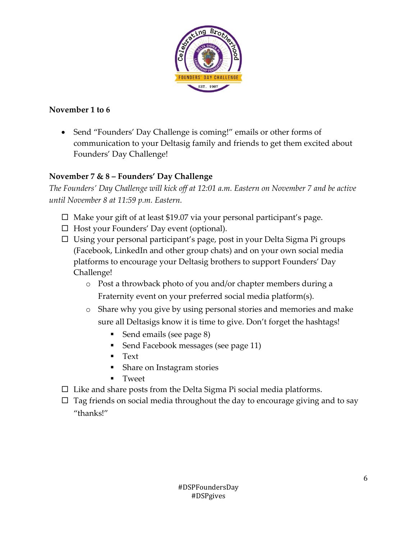

#### **November 1 to 6**

• Send "Founders' Day Challenge is coming!" emails or other forms of communication to your Deltasig family and friends to get them excited about Founders' Day Challenge!

### **November 7 & 8 – Founders' Day Challenge**

*The Founders' Day Challenge will kick off at 12:01 a.m. Eastern on November 7 and be active until November 8 at 11:59 p.m. Eastern.*

- $\Box$  Make your gift of at least \$19.07 via your personal participant's page.
- $\Box$  Host your Founders' Day event (optional).
- $\Box$  Using your personal participant's page, post in your Delta Sigma Pi groups (Facebook, LinkedIn and other group chats) and on your own social media platforms to encourage your Deltasig brothers to support Founders' Day Challenge!
	- o Post a throwback photo of you and/or chapter members during a Fraternity event on your preferred social media platform(s).
	- o Share why you give by using personal stories and memories and make sure all Deltasigs know it is time to give. Don't forget the hashtags!
		- Send emails (see page 8)
		- Send Facebook messages (see page 11)
		- Text
		- Share on Instagram stories
		- **Tweet**
- $\square$  Like and share posts from the Delta Sigma Pi social media platforms.
- $\Box$  Tag friends on social media throughout the day to encourage giving and to say "thanks!"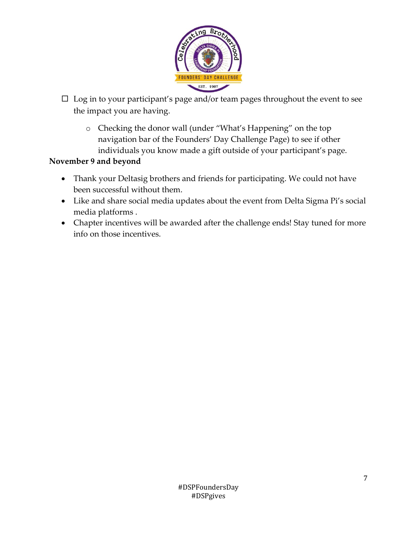

- $\Box$  Log in to your participant's page and/or team pages throughout the event to see the impact you are having.
	- o Checking the donor wall (under "What's Happening" on the top navigation bar of the Founders' Day Challenge Page) to see if other individuals you know made a gift outside of your participant's page.

#### **November 9 and beyond**

- Thank your Deltasig brothers and friends for participating. We could not have been successful without them.
- Like and share social media updates about the event from Delta Sigma Pi's social media platforms .
- Chapter incentives will be awarded after the challenge ends! Stay tuned for more info on those incentives.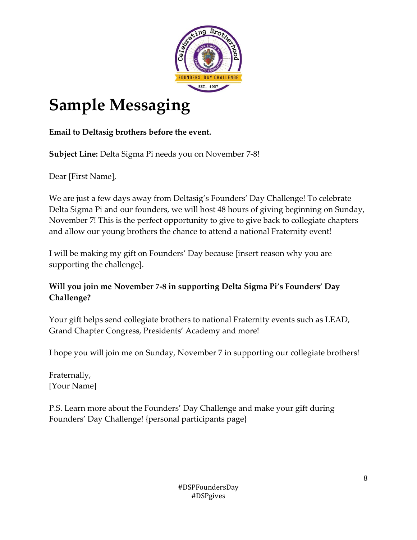

# **Sample Messaging**

**Email to Deltasig brothers before the event.**

**Subject Line:** Delta Sigma Pi needs you on November 7-8!

Dear [First Name],

We are just a few days away from Deltasig's Founders' Day Challenge! To celebrate Delta Sigma Pi and our founders, we will host 48 hours of giving beginning on Sunday, November 7! This is the perfect opportunity to give to give back to collegiate chapters and allow our young brothers the chance to attend a national Fraternity event!

I will be making my gift on Founders' Day because [insert reason why you are supporting the challenge].

### **Will you join me November 7-8 in supporting Delta Sigma Pi's Founders' Day Challenge?**

Your gift helps send collegiate brothers to national Fraternity events such as LEAD, Grand Chapter Congress, Presidents' Academy and more!

I hope you will join me on Sunday, November 7 in supporting our collegiate brothers!

Fraternally, [Your Name]

P.S. Learn more about the Founders' Day Challenge and make your gift during Founders' Day Challenge! {personal participants page}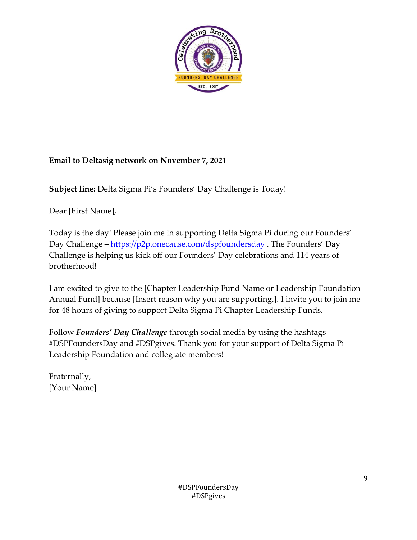

#### **Email to Deltasig network on November 7, 2021**

**Subject line:** Delta Sigma Pi's Founders' Day Challenge is Today!

Dear [First Name],

Today is the day! Please join me in supporting Delta Sigma Pi during our Founders' Day Challenge – <https://p2p.onecause.com/dspfoundersday>. The Founders' Day Challenge is helping us kick off our Founders' Day celebrations and 114 years of brotherhood!

I am excited to give to the [Chapter Leadership Fund Name or Leadership Foundation Annual Fund] because [Insert reason why you are supporting.]. I invite you to join me for 48 hours of giving to support Delta Sigma Pi Chapter Leadership Funds.

Follow *Founders' Day Challenge* through social media by using the hashtags #DSPFoundersDay and #DSPgives. Thank you for your support of Delta Sigma Pi Leadership Foundation and collegiate members!

Fraternally, [Your Name]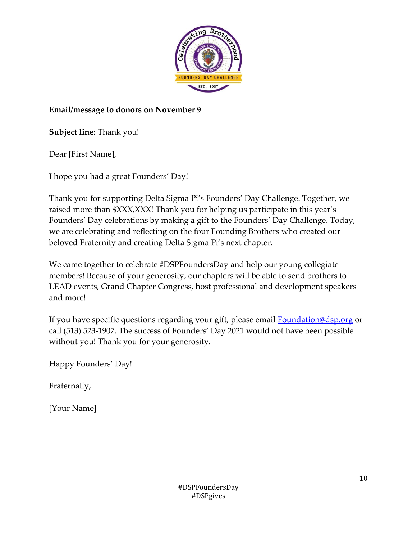

#### **Email/message to donors on November 9**

**Subject line:** Thank you!

Dear [First Name],

I hope you had a great Founders' Day!

Thank you for supporting Delta Sigma Pi's Founders' Day Challenge. Together, we raised more than \$XXX,XXX! Thank you for helping us participate in this year's Founders' Day celebrations by making a gift to the Founders' Day Challenge. Today, we are celebrating and reflecting on the four Founding Brothers who created our beloved Fraternity and creating Delta Sigma Pi's next chapter.

We came together to celebrate #DSPFoundersDay and help our young collegiate members! Because of your generosity, our chapters will be able to send brothers to LEAD events, Grand Chapter Congress, host professional and development speakers and more!

If you have specific questions regarding your gift, please email **Foundation@dsp.org** or call (513) 523-1907. The success of Founders' Day 2021 would not have been possible without you! Thank you for your generosity.

Happy Founders' Day!

Fraternally,

[Your Name]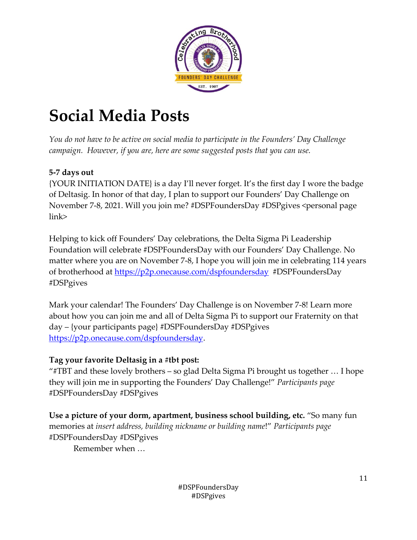

# **Social Media Posts**

*You do not have to be active on social media to participate in the Founders' Day Challenge campaign. However, if you are, here are some suggested posts that you can use.*

### **5-7 days out**

{YOUR INITIATION DATE} is a day I'll never forget. It's the first day I wore the badge of Deltasig. In honor of that day, I plan to support our Founders' Day Challenge on November 7-8, 2021. Will you join me? #DSPFoundersDay #DSPgives <personal page link>

Helping to kick off Founders' Day celebrations, the Delta Sigma Pi Leadership Foundation will celebrate #DSPFoundersDay with our Founders' Day Challenge. No matter where you are on November 7-8, I hope you will join me in celebrating 114 years of brotherhood at<https://p2p.onecause.com/dspfoundersday> #DSPFoundersDay #DSPgives

Mark your calendar! The Founders' Day Challenge is on November 7-8! Learn more about how you can join me and all of Delta Sigma Pi to support our Fraternity on that day – {your participants page} #DSPFoundersDay #DSPgives [https://p2p.onecause.com/dspfoundersday.](https://p2p.onecause.com/dspfoundersday)

#### **Tag your favorite Deltasig in a #tbt post:**

"#TBT and these lovely brothers – so glad Delta Sigma Pi brought us together … I hope they will join me in supporting the Founders' Day Challenge!" *Participants page* #DSPFoundersDay #DSPgives

**Use a picture of your dorm, apartment, business school building, etc.** "So many fun memories at *insert address, building nickname or building name*!" *Participants page* #DSPFoundersDay #DSPgives

Remember when …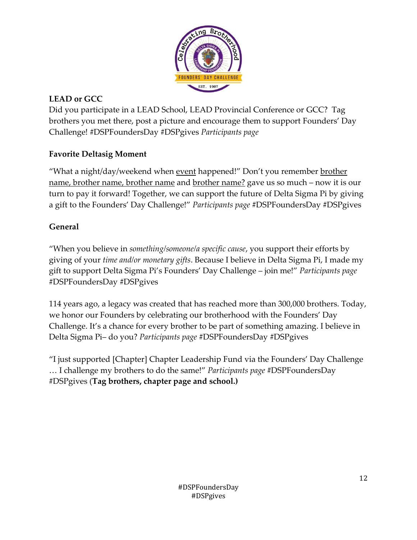

## **LEAD or GCC**

Did you participate in a LEAD School, LEAD Provincial Conference or GCC? Tag brothers you met there, post a picture and encourage them to support Founders' Day Challenge! #DSPFoundersDay #DSPgives *Participants page*

### **Favorite Deltasig Moment**

"What a night/day/weekend when <u>event</u> happened!" Don't you remember <u>brother</u> name, brother name, brother name and brother name? gave us so much – now it is our turn to pay it forward! Together, we can support the future of Delta Sigma Pi by giving a gift to the Founders' Day Challenge!" *Participants page* #DSPFoundersDay #DSPgives

#### **General**

"When you believe in *something/someone/a specific cause*, you support their efforts by giving of your *time and/or monetary gifts*. Because I believe in Delta Sigma Pi, I made my gift to support Delta Sigma Pi's Founders' Day Challenge – join me!" *Participants page* #DSPFoundersDay #DSPgives

114 years ago, a legacy was created that has reached more than 300,000 brothers. Today, we honor our Founders by celebrating our brotherhood with the Founders' Day Challenge. It's a chance for every brother to be part of something amazing. I believe in Delta Sigma Pi– do you? *Participants page* #DSPFoundersDay #DSPgives

"I just supported [Chapter] Chapter Leadership Fund via the Founders' Day Challenge … I challenge my brothers to do the same!" *Participants page* #DSPFoundersDay #DSPgives (**Tag brothers, chapter page and school.)**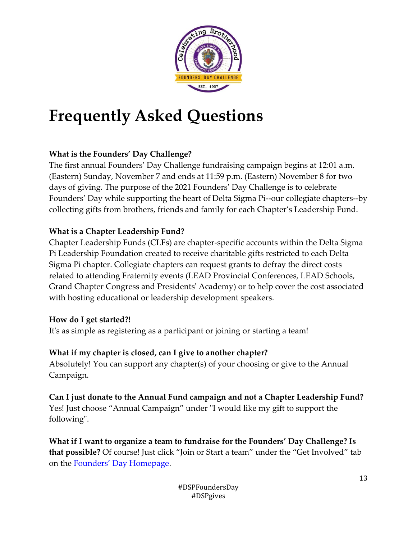

# **Frequently Asked Questions**

### **What is the Founders' Day Challenge?**

The first annual Founders' Day Challenge fundraising campaign begins at 12:01 a.m. (Eastern) Sunday, November 7 and ends at 11:59 p.m. (Eastern) November 8 for two days of giving. The purpose of the 2021 Founders' Day Challenge is to celebrate Founders' Day while supporting the heart of Delta Sigma Pi--our collegiate chapters--by collecting gifts from brothers, friends and family for each Chapter's Leadership Fund.

#### **What is a Chapter Leadership Fund?**

Chapter Leadership Funds (CLFs) are chapter-specific accounts within the Delta Sigma Pi Leadership Foundation created to receive charitable gifts restricted to each Delta Sigma Pi chapter. Collegiate chapters can request grants to defray the direct costs related to attending Fraternity events (LEAD Provincial Conferences, LEAD Schools, Grand Chapter Congress and Presidents' Academy) or to help cover the cost associated with hosting educational or leadership development speakers.

#### **How do I get started?!**

It's as simple as registering as a participant or joining or starting a team!

#### **What if my chapter is closed, can I give to another chapter?**

Absolutely! You can support any chapter(s) of your choosing or give to the Annual Campaign.

# **Can I just donate to the Annual Fund campaign and not a Chapter Leadership Fund?**

Yes! Just choose "Annual Campaign" under "I would like my gift to support the following".

**What if I want to organize a team to fundraise for the Founders' Day Challenge? Is that possible?** Of course! Just click "Join or Start a team" under the "Get Involved" tab on the [Founders' Day Homepage](https://p2p.onecause.com/dspfoundersday/home).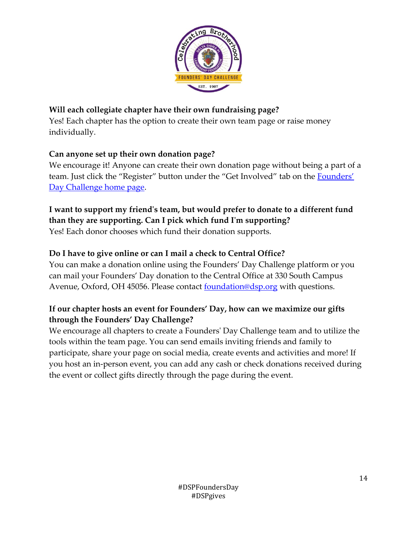

### **Will each collegiate chapter have their own fundraising page?**

Yes! Each chapter has the option to create their own team page or raise money individually.

### **Can anyone set up their own donation page?**

We encourage it! Anyone can create their own donation page without being a part of a team. Just click the "Register" button under the "Get Involved" tab on the Founders' [Day Challenge home page.](https://p2p.onecause.com/dspfoundersday/home)

## **I want to support my friend's team, but would prefer to donate to a different fund than they are supporting. Can I pick which fund I'm supporting?**

Yes! Each donor chooses which fund their donation supports.

### **Do I have to give online or can I mail a check to Central Office?**

You can make a donation online using the Founders' Day Challenge platform or you can mail your Founders' Day donation to the Central Office at 330 South Campus Avenue, Oxford, OH 45056. Please contact **[foundation@dsp.org](mailto:foundation@dsp.org)** with questions.

### **If our chapter hosts an event for Founders' Day, how can we maximize our gifts through the Founders' Day Challenge?**

We encourage all chapters to create a Founders' Day Challenge team and to utilize the tools within the team page. You can send emails inviting friends and family to participate, share your page on social media, create events and activities and more! If you host an in-person event, you can add any cash or check donations received during the event or collect gifts directly through the page during the event.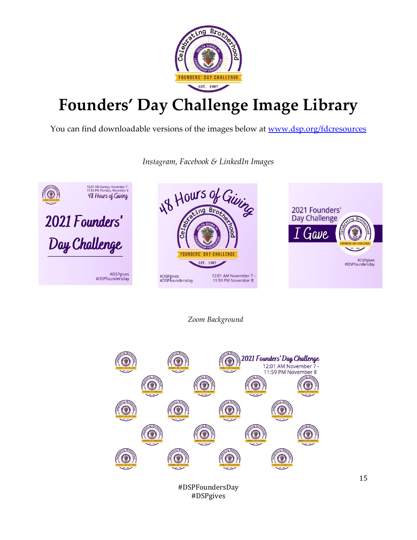

# **Founders' Day Challenge Image Library**

You can find downloadable versions of the images below at [www.dsp.org/fdcresources](http://www.dsp.org/fdcresources)



*Instagram, Facebook & LinkedIn Images*

#### *Zoom Background*



#DSPgives